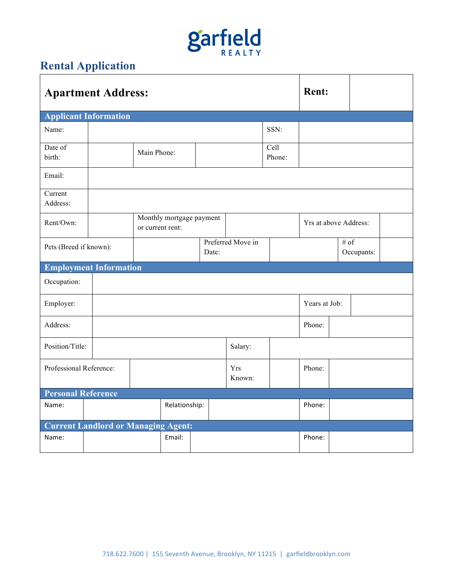## **garfield**

## **Rental Application**

|                                            | <b>Apartment Address:</b>     | <b>Rent:</b>                                 |       |                      |                   |        |                       |            |  |  |  |
|--------------------------------------------|-------------------------------|----------------------------------------------|-------|----------------------|-------------------|--------|-----------------------|------------|--|--|--|
| <b>Applicant Information</b>               |                               |                                              |       |                      |                   |        |                       |            |  |  |  |
| Name:                                      |                               |                                              |       |                      | SSN:              |        |                       |            |  |  |  |
| Date of<br>birth:                          |                               | Main Phone:                                  |       |                      | Cell<br>Phone:    |        |                       |            |  |  |  |
| Email:                                     |                               |                                              |       |                      |                   |        |                       |            |  |  |  |
| Current<br>Address:                        |                               |                                              |       |                      |                   |        |                       |            |  |  |  |
| Rent/Own:                                  |                               | Monthly mortgage payment<br>or current rent: |       |                      |                   |        | Yrs at above Address: |            |  |  |  |
| Pets (Breed if known):                     |                               |                                              | Date: |                      | Preferred Move in |        | $\#$ of               | Occupants: |  |  |  |
|                                            | <b>Employment Information</b> |                                              |       |                      |                   |        |                       |            |  |  |  |
| Occupation:                                |                               |                                              |       |                      |                   |        |                       |            |  |  |  |
| Employer:                                  |                               |                                              |       | Years at Job:        |                   |        |                       |            |  |  |  |
| Address:                                   |                               |                                              |       |                      | Phone:            |        |                       |            |  |  |  |
| Position/Title:                            |                               |                                              |       |                      | Salary:           |        |                       |            |  |  |  |
| Professional Reference:                    |                               |                                              |       | <b>Yrs</b><br>Known: |                   | Phone: |                       |            |  |  |  |
| <b>Personal Reference</b>                  |                               |                                              |       |                      |                   |        |                       |            |  |  |  |
| Name:                                      |                               | Relationship:                                |       |                      |                   | Phone: |                       |            |  |  |  |
| <b>Current Landlord or Managing Agent:</b> |                               |                                              |       |                      |                   |        |                       |            |  |  |  |
| Name:                                      |                               | Email:                                       |       |                      |                   | Phone: |                       |            |  |  |  |